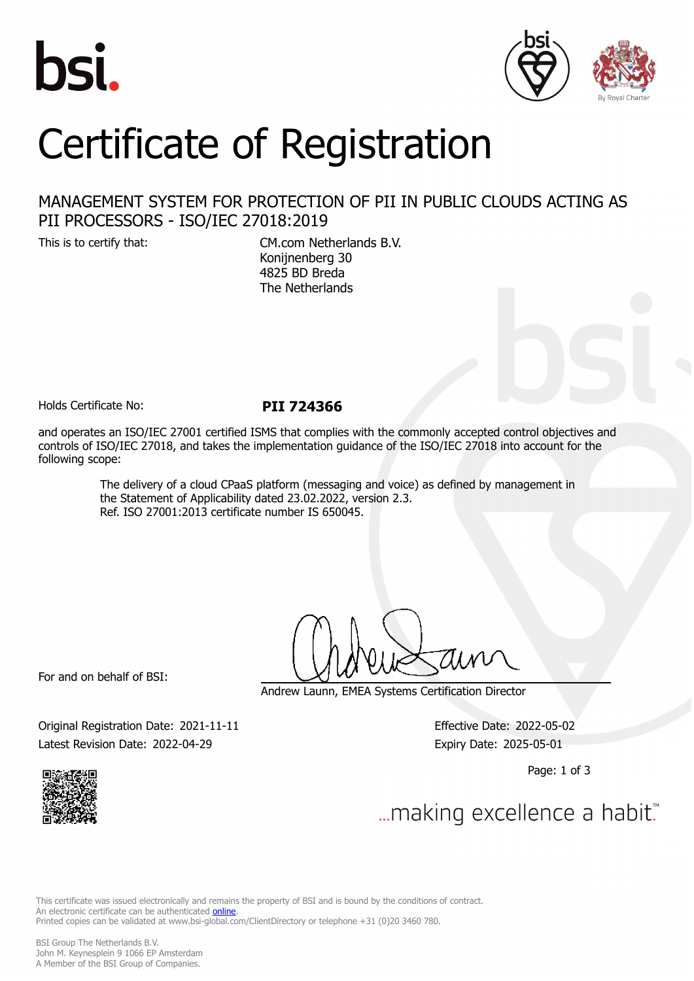





# Certificate of Registration

# MANAGEMENT SYSTEM FOR PROTECTION OF PII IN PUBLIC CLOUDS ACTING AS PII PROCESSORS - ISO/IEC 27018:2019

This is to certify that: CM.com Netherlands B.V. Konijnenberg 30 4825 BD Breda The Netherlands

Holds Certificate No: **PII 724366**

and operates an ISO/IEC 27001 certified ISMS that complies with the commonly accepted control objectives and controls of ISO/IEC 27018, and takes the implementation guidance of the ISO/IEC 27018 into account for the following scope:

> The delivery of a cloud CPaaS platform (messaging and voice) as defined by management in the Statement of Applicability dated 23.02.2022, version 2.3. Ref. ISO 27001:2013 certificate number IS 650045.

For and on behalf of BSI:

Andrew Launn, EMEA Systems Certification Director

Original Registration Date: 2021-11-11 Effective Date: 2022-05-02 Latest Revision Date: 2022-04-29 Expiry Date: 2025-05-01

Page: 1 of 3



... making excellence a habit."

This certificate was issued electronically and remains the property of BSI and is bound by the conditions of contract. An electronic certificate can be authenticated **[online](https://pgplus.bsigroup.com/CertificateValidation/CertificateValidator.aspx?CertificateNumber=PII+724366&ReIssueDate=29%2f04%2f2022&Template=cemea_en)**. Printed copies can be validated at www.bsi-global.com/ClientDirectory or telephone +31 (0)20 3460 780.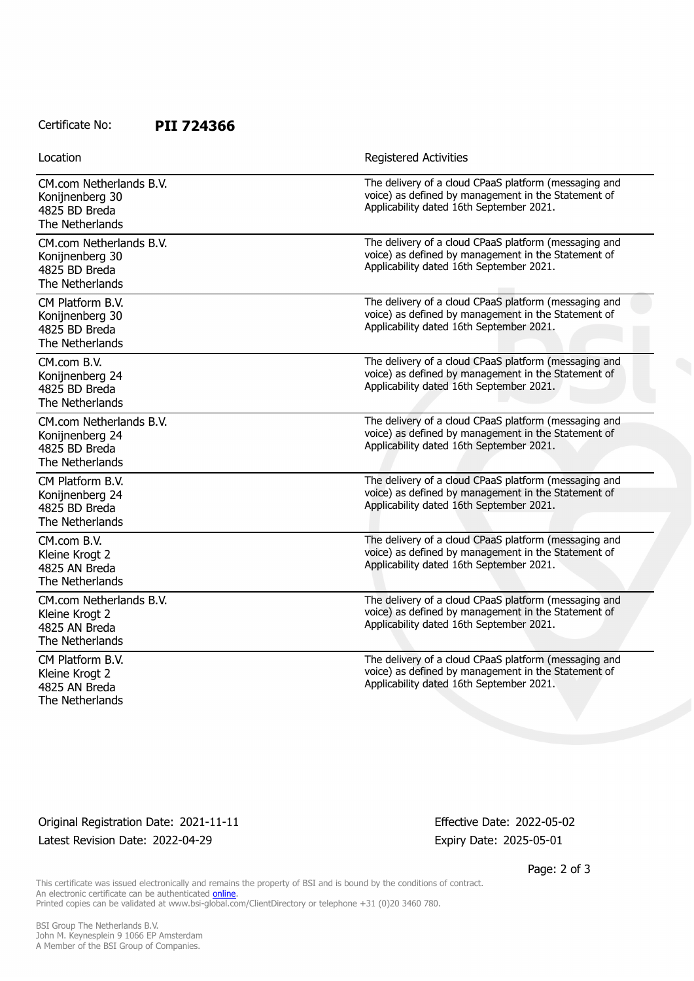### Certificate No: **PII 724366**

| Location |  |
|----------|--|
|          |  |

Registered Activities

| CM.com Netherlands B.V.<br>Konijnenberg 30<br>4825 BD Breda<br>The Netherlands | The delivery of a cloud CPaaS platform (messaging and<br>voice) as defined by management in the Statement of<br>Applicability dated 16th September 2021. |
|--------------------------------------------------------------------------------|----------------------------------------------------------------------------------------------------------------------------------------------------------|
| CM.com Netherlands B.V.<br>Konijnenberg 30<br>4825 BD Breda<br>The Netherlands | The delivery of a cloud CPaaS platform (messaging and<br>voice) as defined by management in the Statement of<br>Applicability dated 16th September 2021. |
| CM Platform B.V.<br>Konijnenberg 30<br>4825 BD Breda<br>The Netherlands        | The delivery of a cloud CPaaS platform (messaging and<br>voice) as defined by management in the Statement of<br>Applicability dated 16th September 2021. |
| CM.com B.V.<br>Konijnenberg 24<br>4825 BD Breda<br>The Netherlands             | The delivery of a cloud CPaaS platform (messaging and<br>voice) as defined by management in the Statement of<br>Applicability dated 16th September 2021. |
| CM.com Netherlands B.V.<br>Konijnenberg 24<br>4825 BD Breda<br>The Netherlands | The delivery of a cloud CPaaS platform (messaging and<br>voice) as defined by management in the Statement of<br>Applicability dated 16th September 2021. |
| CM Platform B.V.<br>Konijnenberg 24<br>4825 BD Breda<br>The Netherlands        | The delivery of a cloud CPaaS platform (messaging and<br>voice) as defined by management in the Statement of<br>Applicability dated 16th September 2021. |
| CM.com B.V.<br>Kleine Krogt 2<br>4825 AN Breda<br>The Netherlands              | The delivery of a cloud CPaaS platform (messaging and<br>voice) as defined by management in the Statement of<br>Applicability dated 16th September 2021. |
| CM.com Netherlands B.V.<br>Kleine Krogt 2<br>4825 AN Breda<br>The Netherlands  | The delivery of a cloud CPaaS platform (messaging and<br>voice) as defined by management in the Statement of<br>Applicability dated 16th September 2021. |
| CM Platform B.V.<br>Kleine Krogt 2<br>4825 AN Breda<br>The Netherlands         | The delivery of a cloud CPaaS platform (messaging and<br>voice) as defined by management in the Statement of<br>Applicability dated 16th September 2021. |

# Original Registration Date: 2021-11-11 Effective Date: 2022-05-02 Latest Revision Date: 2022-04-29 Expiry Date: 2025-05-01

Page: 2 of 3

This certificate was issued electronically and remains the property of BSI and is bound by the conditions of contract. An electronic certificate can be authenticated **[online](https://pgplus.bsigroup.com/CertificateValidation/CertificateValidator.aspx?CertificateNumber=PII+724366&ReIssueDate=29%2f04%2f2022&Template=cemea_en)**. Printed copies can be validated at www.bsi-global.com/ClientDirectory or telephone +31 (0)20 3460 780.